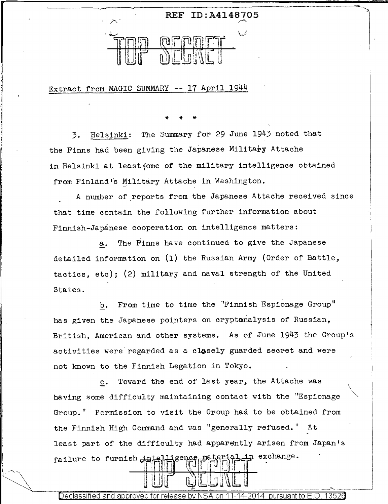

Extract from MAGIC SUMMARY -- 17 April 1944

\* \* \*

3. Helsinki: The Summary for 29 June 1943 noted that the Finns had been giving the Japanese Military Attache in Helsinki at least fome of the military intelligence obtained from Finland's Military Attache in Washington.

A number of reports from the Japanese Attache received since that time contain the following further information about Finnish-Japanese cooperation on intelligence matters:

a. The Finns have continued to give the Japanese detailed information on (1) the Russian Army (Order of Battle, tactics, etc); (2) military and naval strength of the United States.

b. From time to time the "Finnish Espionage Group" has given the Japanese pointers on cryptanalysis of Russian, British, American and other systems. As of June 1943 the Group's activities were regarded as a closely guarded secret and were not known to the Finnish Legation in Tokyo.

 $\overline{\phantom{0}}$ 

c. Toward the end of last year, the Attache was having some difficulty maintaining contact with the "Espionage Group." Permission to visit the Group ha& to be obtained from the Finnish High Command and was "generally refused." At least part of the difficulty had apparently arisen from Japan's exchange. failure to furnish intelligence